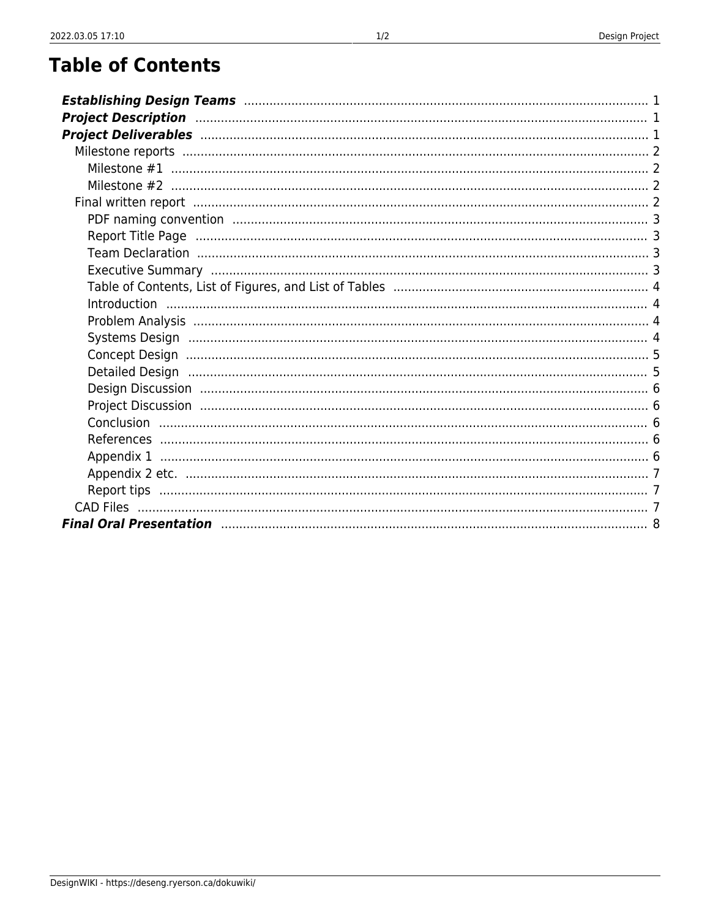## **Table of Contents**

| Project Description manufactured and a control of the control of the control of the control of the control of<br>Final written report manufacture and continuum control and control control and control control and control and |
|---------------------------------------------------------------------------------------------------------------------------------------------------------------------------------------------------------------------------------|
|                                                                                                                                                                                                                                 |
|                                                                                                                                                                                                                                 |
|                                                                                                                                                                                                                                 |
|                                                                                                                                                                                                                                 |
|                                                                                                                                                                                                                                 |
|                                                                                                                                                                                                                                 |
|                                                                                                                                                                                                                                 |
|                                                                                                                                                                                                                                 |
|                                                                                                                                                                                                                                 |
|                                                                                                                                                                                                                                 |
|                                                                                                                                                                                                                                 |
|                                                                                                                                                                                                                                 |
|                                                                                                                                                                                                                                 |
|                                                                                                                                                                                                                                 |
|                                                                                                                                                                                                                                 |
|                                                                                                                                                                                                                                 |
|                                                                                                                                                                                                                                 |
|                                                                                                                                                                                                                                 |
|                                                                                                                                                                                                                                 |
|                                                                                                                                                                                                                                 |
|                                                                                                                                                                                                                                 |
|                                                                                                                                                                                                                                 |
|                                                                                                                                                                                                                                 |
|                                                                                                                                                                                                                                 |
| <b>Final Oral Presentation manufacture and the Contract of Strategie and Strategie and Strategie and Strategie a</b>                                                                                                            |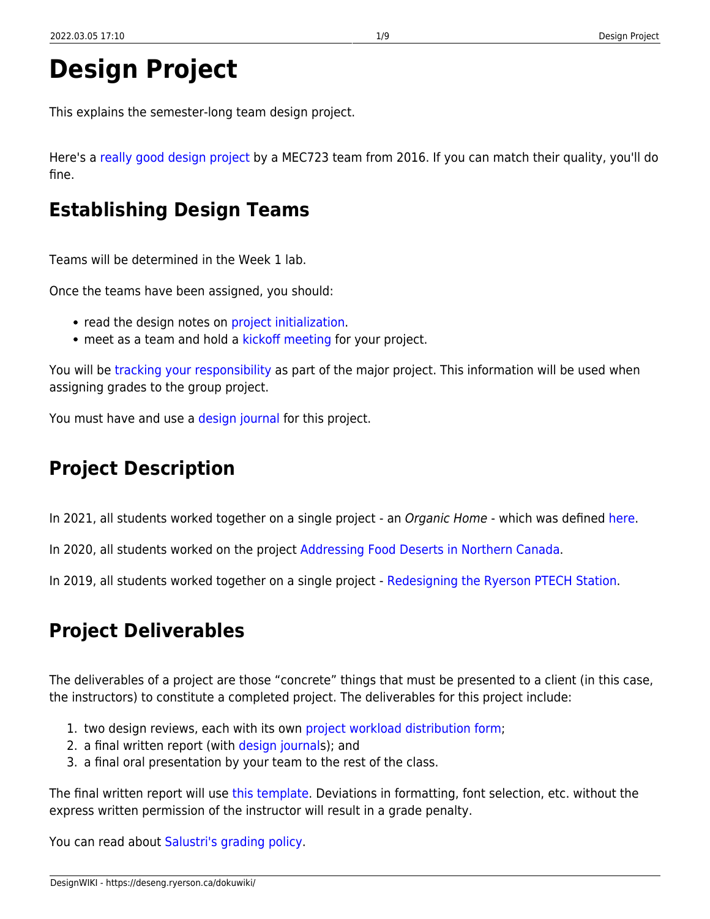# **Design Project**

This explains the semester-long team design project.

Here's a [really good design project](https://drive.google.com/file/d/0B0nElH5c4V15YzFLR3JJUVN3bFk/view?usp=sharing) by a MEC723 team from 2016. If you can match their quality, you'll do fine.

## <span id="page-2-0"></span>**Establishing Design Teams**

Teams will be determined in the Week 1 lab.

Once the teams have been assigned, you should:

- read the design notes on [project initialization.](https://deseng.ryerson.ca/dokuwiki/design:project_initialization)
- meet as a team and hold a [kickoff meeting](https://deseng.ryerson.ca/dokuwiki/design:kickoff_meeting) for your project.

You will be [tracking your responsibility](https://deseng.ryerson.ca/dokuwiki/design:project_workload_distribution_form) as part of the major project. This information will be used when assigning grades to the group project.

You must have and use a [design journal](https://deseng.ryerson.ca/dokuwiki/design:design_journal) for this project.

## <span id="page-2-1"></span>**Project Description**

In 2021, all students worked together on a single project - an *Organic Home* - which was defined [here.](https://docs.google.com/a/ryerson.ca/document/d/1xHQEFpTDwK7MEjNSyiNma4XIaOg2QFRBOlBaKY1zvhI/edit?usp=sharing)

In 2020, all students worked on the project [Addressing Food Deserts in Northern Canada.](https://docs.google.com/document/d/1DoYlaCMsPsvvgHe44XIe1NGIbJcFAmFzigqxRTj1mhc/edit?usp=sharing)

In 2019, all students worked together on a single project - [Redesigning the Ryerson PTECH Station](https://docs.google.com/document/d/1BntjhP-jqO6YxEKX-e7nMlr0fXWV_pYNju21i0FBfkU/edit?usp=sharing).

## <span id="page-2-2"></span>**Project Deliverables**

The deliverables of a project are those "concrete" things that must be presented to a client (in this case, the instructors) to constitute a completed project. The deliverables for this project include:

- 1. two design reviews, each with its own [project workload distribution form](https://deseng.ryerson.ca/dokuwiki/design:project_workload_distribution_form);
- 2. a final written report (with [design journal](https://deseng.ryerson.ca/dokuwiki/design:design_journal)s); and
- 3. a final oral presentation by your team to the rest of the class.

The final written report will use [this template](https://docs.google.com/document/d/1v9f2fIlMXxNW9Nh4sV3cFS19zNmiju7uRfd-v-oEDl4/edit?usp=sharing). Deviations in formatting, font selection, etc. without the express written permission of the instructor will result in a grade penalty.

You can read about [Salustri's grading policy.](https://deseng.ryerson.ca/dokuwiki/teaching:salustri_s_grading_policy)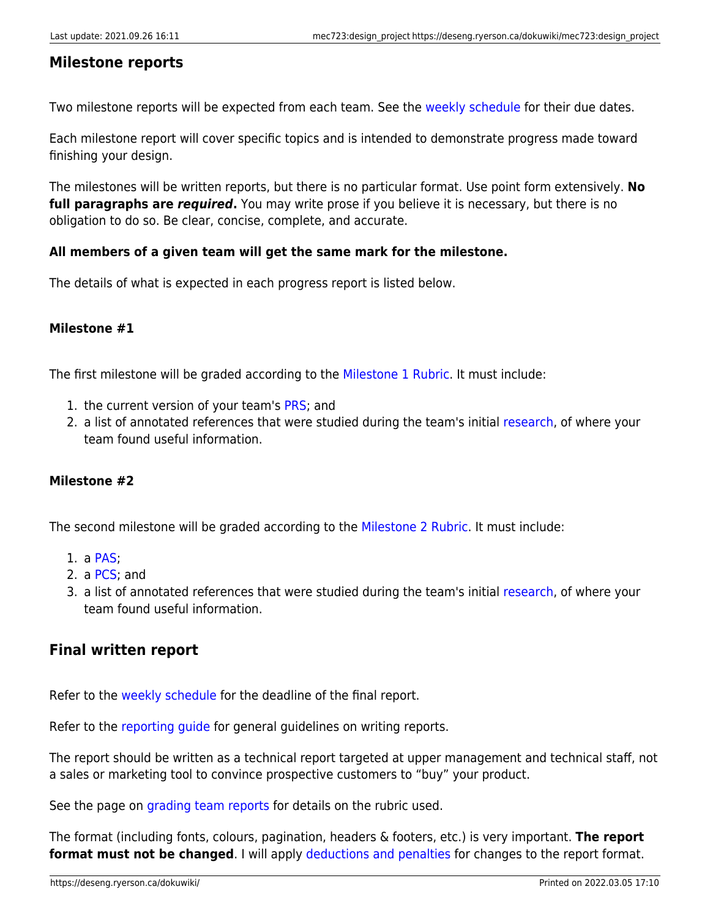## <span id="page-3-0"></span>**Milestone reports**

Two milestone reports will be expected from each team. See the [weekly schedule](https://deseng.ryerson.ca/dokuwiki/mec723:weekly_schedule) for their due dates.

Each milestone report will cover specific topics and is intended to demonstrate progress made toward finishing your design.

The milestones will be written reports, but there is no particular format. Use point form extensively. **No full paragraphs are** *required***.** You may write prose if you believe it is necessary, but there is no obligation to do so. Be clear, concise, complete, and accurate.

## **All members of a given team will get the same mark for the milestone.**

The details of what is expected in each progress report is listed below.

## <span id="page-3-1"></span>**Milestone #1**

The first milestone will be graded according to the [Milestone 1 Rubric.](https://docs.google.com/spreadsheets/d/1BShVU8RpDrClfODTHHxhlfR6mR4q9PlUYNXoA4Ac0m8/edit?usp=sharing) It must include:

- 1. the current version of your team's [PRS](https://deseng.ryerson.ca/dokuwiki/design:prs); and
- 2. a list of annotated references that were studied during the team's initial [research](https://deseng.ryerson.ca/dokuwiki/design:research), of where your team found useful information.

## <span id="page-3-2"></span>**Milestone #2**

The second milestone will be graded according to the [Milestone 2 Rubric.](https://docs.google.com/spreadsheets/d/1t1vOrjZ6t5DQJ2urr6P8-0zg31hHO8LDBnS_o3F5SqE/edit?usp=sharing) It must include:

- 1. a [PAS;](https://deseng.ryerson.ca/dokuwiki/design:pas)
- 2. a [PCS;](https://deseng.ryerson.ca/dokuwiki/design:pcs) and
- 3. a list of annotated references that were studied during the team's initial [research](https://deseng.ryerson.ca/dokuwiki/design:research), of where your team found useful information.

## <span id="page-3-3"></span>**Final written report**

Refer to the [weekly schedule](https://deseng.ryerson.ca/dokuwiki/mec723:weekly_schedule) for the deadline of the final report.

Refer to the [reporting guide](https://deseng.ryerson.ca/dokuwiki/design:reporting_guide) for general guidelines on writing reports.

The report should be written as a technical report targeted at upper management and technical staff, not a sales or marketing tool to convince prospective customers to "buy" your product.

See the page on [grading team reports](https://deseng.ryerson.ca/dokuwiki/teaching:grading_team_reports) for details on the rubric used.

The format (including fonts, colours, pagination, headers & footers, etc.) is very important. **The report format must not be changed**. I will apply [deductions and penalties](https://deseng.ryerson.ca/dokuwiki/teaching:salustri_s_grading_policy#deductions_and_penalties) for changes to the report format.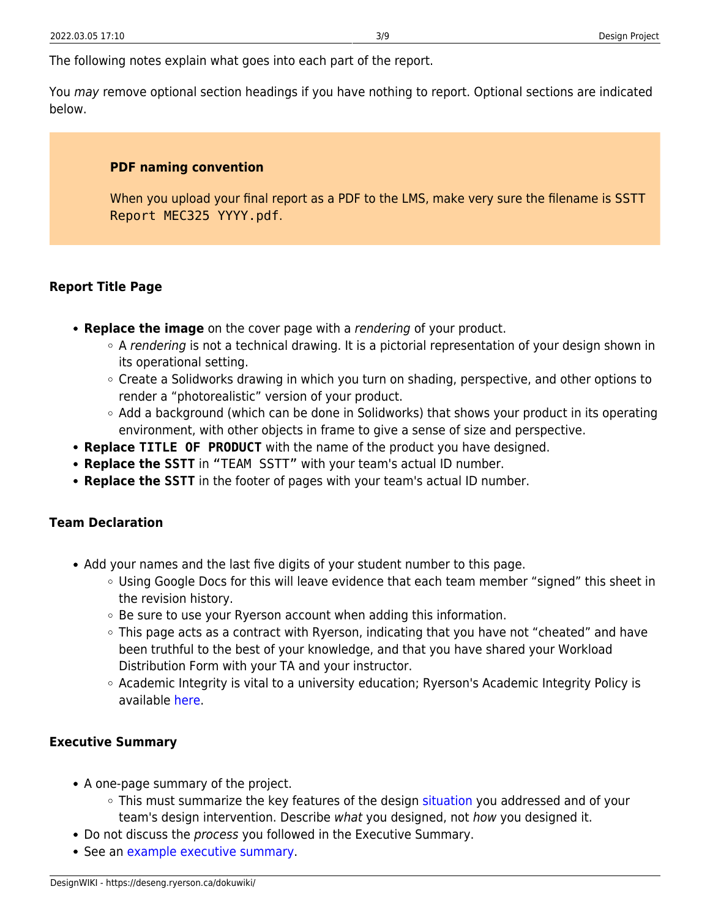The following notes explain what goes into each part of the report.

<span id="page-4-0"></span>You may remove optional section headings if you have nothing to report. Optional sections are indicated below.

### **PDF naming convention**

When you upload your final report as a PDF to the LMS, make very sure the filename is SSTT Report MEC325 YYYY.pdf.

## <span id="page-4-1"></span>**Report Title Page**

- **Replace the image** on the cover page with a rendering of your product.
	- $\circ$  A rendering is not a technical drawing. It is a pictorial representation of your design shown in its operational setting.
	- Create a Solidworks drawing in which you turn on shading, perspective, and other options to render a "photorealistic" version of your product.
	- Add a background (which can be done in Solidworks) that shows your product in its operating environment, with other objects in frame to give a sense of size and perspective.
- **Replace TITLE OF PRODUCT** with the name of the product you have designed.
- **Replace the SSTT** in "TEAM SSTT" with your team's actual ID number.
- **Replace the SSTT** in the footer of pages with your team's actual ID number.

### <span id="page-4-2"></span>**Team Declaration**

- Add your names and the last five digits of your student number to this page.
	- Using Google Docs for this will leave evidence that each team member "signed" this sheet in the revision history.
	- Be sure to use your Ryerson account when adding this information.
	- $\circ$  This page acts as a contract with Ryerson, indicating that you have not "cheated" and have been truthful to the best of your knowledge, and that you have shared your Workload Distribution Form with your TA and your instructor.
	- Academic Integrity is vital to a university education; Ryerson's Academic Integrity Policy is available [here.](https://www.ryerson.ca/academicintegrity/students/ryersons-academic-integrity-policy-policy-60/)

### <span id="page-4-3"></span>**Executive Summary**

- A one-page summary of the project.
	- This must summarize the key features of the design [situation](https://deseng.ryerson.ca/dokuwiki/design:situation) you addressed and of your team's design intervention. Describe what you designed, not how you designed it.
- Do not discuss the process you followed in the Executive Summary.
- See an [example executive summary.](https://deseng.ryerson.ca/dokuwiki/mec325:example_executive_summary)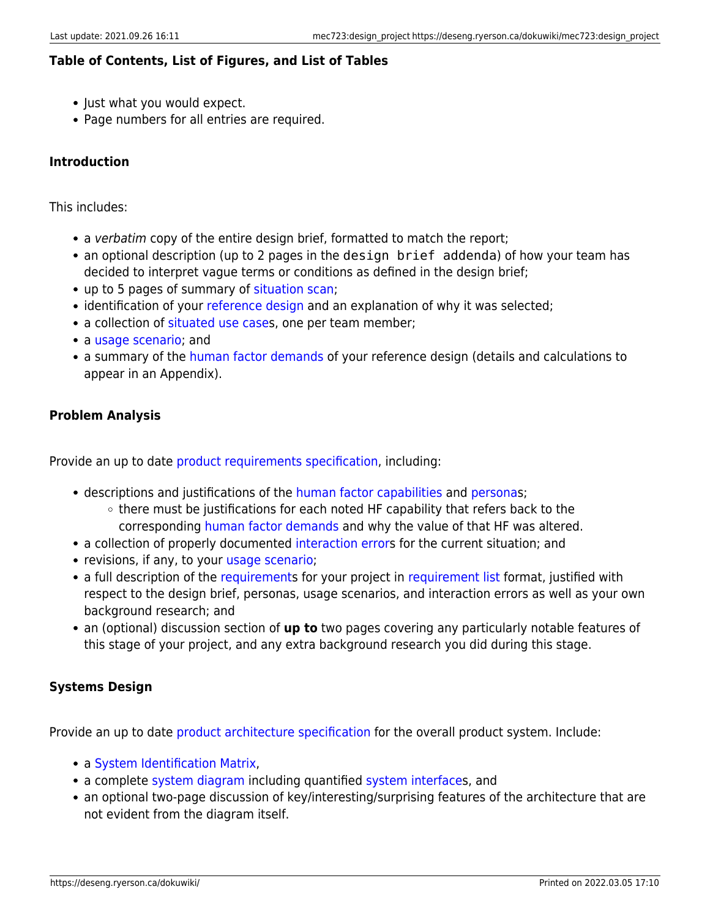## <span id="page-5-0"></span>**Table of Contents, List of Figures, and List of Tables**

- Just what you would expect.
- Page numbers for all entries are required.

## <span id="page-5-1"></span>**Introduction**

This includes:

- a verbatim copy of the entire design brief, formatted to match the report;
- an optional description (up to 2 pages in the design brief addenda) of how your team has decided to interpret vague terms or conditions as defined in the design brief;
- up to 5 pages of summary of [situation scan](https://deseng.ryerson.ca/dokuwiki/design:situation_scan);
- identification of your [reference design](https://deseng.ryerson.ca/dokuwiki/design:reference_design#deliverables) and an explanation of why it was selected;
- a collection of [situated use cases](https://deseng.ryerson.ca/dokuwiki/design:situated_use_case), one per team member;
- a [usage scenario;](https://deseng.ryerson.ca/dokuwiki/design:usage_scenario) and
- a summary of the [human factor demands](https://deseng.ryerson.ca/dokuwiki/design:human_factor_demands) of your reference design (details and calculations to appear in an Appendix).

## <span id="page-5-2"></span>**Problem Analysis**

Provide an up to date [product requirements specification](https://deseng.ryerson.ca/dokuwiki/design:product_requirements_specification), including:

- descriptions and justifications of the [human factor capabilities](https://deseng.ryerson.ca/dokuwiki/design:human_factor_capabilities) and [persona](https://deseng.ryerson.ca/dokuwiki/design:persona)s;
	- there must be justifications for each noted HF capability that refers back to the corresponding [human factor demands](https://deseng.ryerson.ca/dokuwiki/design:human_factor_demands) and why the value of that HF was altered.
- a collection of properly documented [interaction error](https://deseng.ryerson.ca/dokuwiki/design:interaction_error)s for the current situation; and
- revisions, if any, to your [usage scenario](https://deseng.ryerson.ca/dokuwiki/design:usage_scenario);
- a full description of the [requirements](https://deseng.ryerson.ca/dokuwiki/design:requirement) for your project in [requirement list](https://deseng.ryerson.ca/dokuwiki/design:requirement_list) format, justified with respect to the design brief, personas, usage scenarios, and interaction errors as well as your own background research; and
- an (optional) discussion section of **up to** two pages covering any particularly notable features of this stage of your project, and any extra background research you did during this stage.

## <span id="page-5-3"></span>**Systems Design**

Provide an up to date [product architecture specification](https://deseng.ryerson.ca/dokuwiki/design:product_architecture_specification) for the overall product system. Include:

- a [System Identification Matrix,](https://deseng.ryerson.ca/dokuwiki/design:subsystem)
- a complete [system diagram](https://deseng.ryerson.ca/dokuwiki/design:system_diagram) including quantified [system interfaces](https://deseng.ryerson.ca/dokuwiki/design:system_interface), and
- an optional two-page discussion of key/interesting/surprising features of the architecture that are not evident from the diagram itself.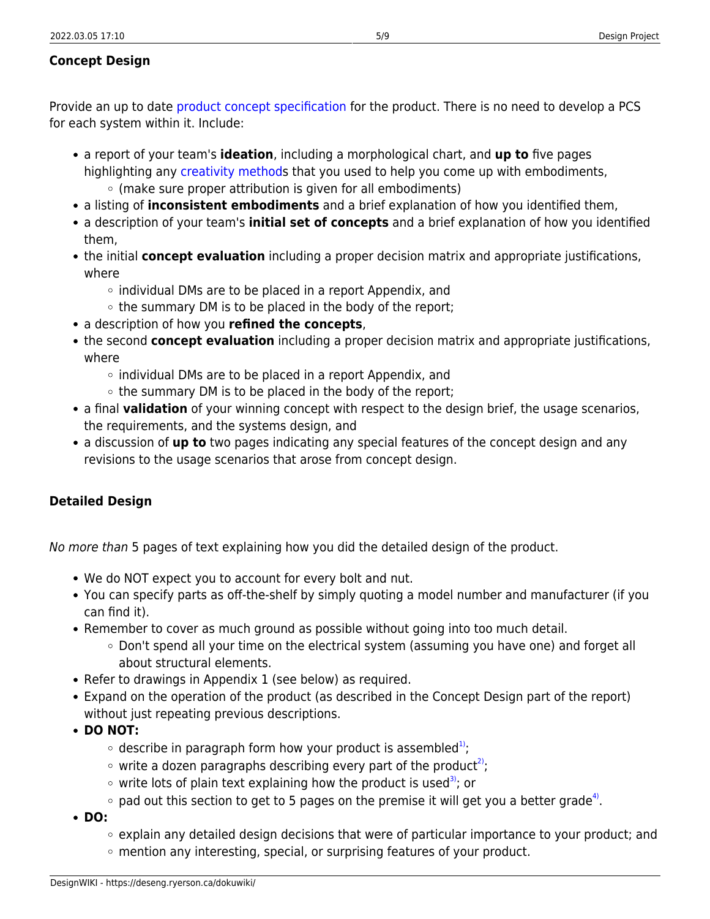## <span id="page-6-0"></span>**Concept Design**

Provide an up to date [product concept specification](https://deseng.ryerson.ca/dokuwiki/design:product_concept_specification) for the product. There is no need to develop a PCS for each system within it. Include:

- a report of your team's **ideation**, including a morphological chart, and **up to** five pages highlighting any [creativity methods](https://deseng.ryerson.ca/dokuwiki/design:creativity_method) that you used to help you come up with embodiments,  $\circ$  (make sure proper attribution is given for all embodiments)
- a listing of **inconsistent embodiments** and a brief explanation of how you identified them,
- a description of your team's **initial set of concepts** and a brief explanation of how you identified them,
- the initial **concept evaluation** including a proper decision matrix and appropriate justifications, where
	- $\circ$  individual DMs are to be placed in a report Appendix, and
	- $\circ$  the summary DM is to be placed in the body of the report;
- a description of how you **refined the concepts**,
- the second **concept evaluation** including a proper decision matrix and appropriate justifications, where
	- $\circ$  individual DMs are to be placed in a report Appendix, and
	- $\circ$  the summary DM is to be placed in the body of the report;
- a final **validation** of your winning concept with respect to the design brief, the usage scenarios, the requirements, and the systems design, and
- a discussion of **up to** two pages indicating any special features of the concept design and any revisions to the usage scenarios that arose from concept design.

## <span id="page-6-1"></span>**Detailed Design**

No more than 5 pages of text explaining how you did the detailed design of the product.

- We do NOT expect you to account for every bolt and nut.
- You can specify parts as off-the-shelf by simply quoting a model number and manufacturer (if you can find it).
- Remember to cover as much ground as possible without going into too much detail.
	- Don't spend all your time on the electrical system (assuming you have one) and forget all about structural elements.
- Refer to drawings in Appendix 1 (see below) as required.
- Expand on the operation of the product (as described in the Concept Design part of the report) without just repeating previous descriptions.
- **DO NOT:**
	- $\circ$  describe in paragraph form how your product is assembled<sup>[1\)](#page--1-0)</sup>;
	- $\circ$  write a dozen paragraphs describing every part of the product<sup>[2\)](#page--1-0)</sup>;
	- $\circ$  write lots of plain text explaining how the product is used<sup>3</sup>); or
	- pad out this section to get to 5 pages on the premise it will get you a better grade<sup>[4\)](#page--1-0)</sup>.
- **DO:**
	- $\circ$  explain any detailed design decisions that were of particular importance to your product; and
	- mention any interesting, special, or surprising features of your product.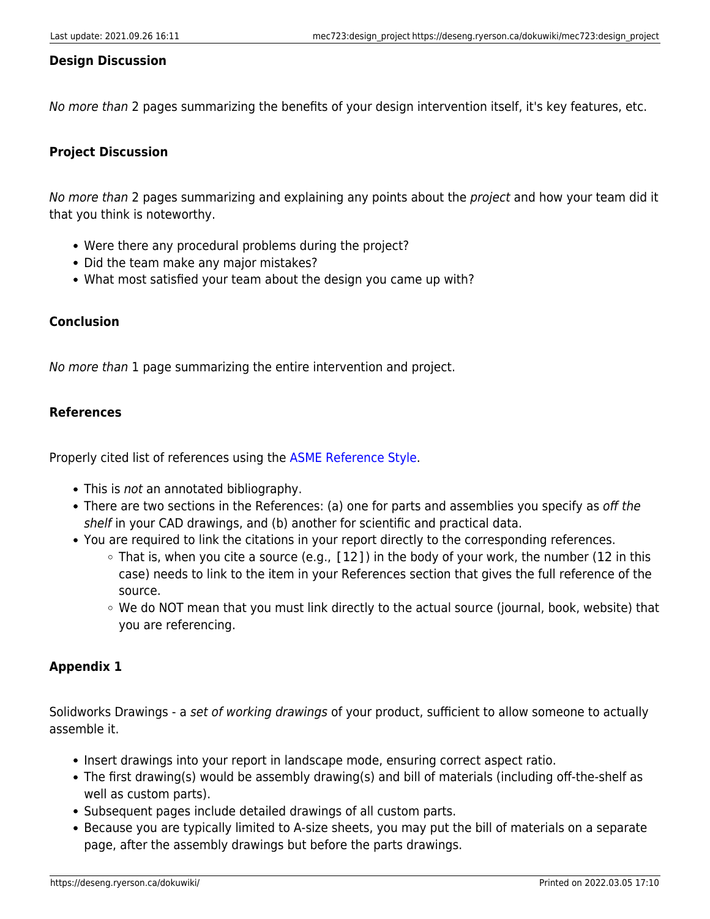### <span id="page-7-0"></span>**Design Discussion**

No more than 2 pages summarizing the benefits of your design intervention itself, it's key features, etc.

## <span id="page-7-1"></span>**Project Discussion**

No more than 2 pages summarizing and explaining any points about the project and how your team did it that you think is noteworthy.

- Were there any procedural problems during the project?
- Did the team make any major mistakes?
- What most satisfied your team about the design you came up with?

## <span id="page-7-2"></span>**Conclusion**

No more than 1 page summarizing the entire intervention and project.

## <span id="page-7-3"></span>**References**

Properly cited list of references using the [ASME Reference Style.](https://www.asme.org/publications-submissions/journals/information-for-authors/journal-guidelines/references)

- This is not an annotated bibliography.
- There are two sections in the References: (a) one for parts and assemblies you specify as off the shelf in your CAD drawings, and (b) another for scientific and practical data.
- You are required to link the citations in your report directly to the corresponding references.
	- $\circ$  That is, when you cite a source (e.g., [12]) in the body of your work, the number (12 in this case) needs to link to the item in your References section that gives the full reference of the source.
	- $\circ$  We do NOT mean that you must link directly to the actual source (journal, book, website) that you are referencing.

### <span id="page-7-4"></span>**Appendix 1**

Solidworks Drawings - a set of working drawings of your product, sufficient to allow someone to actually assemble it.

- Insert drawings into your report in landscape mode, ensuring correct aspect ratio.
- The first drawing(s) would be assembly drawing(s) and bill of materials (including off-the-shelf as well as custom parts).
- Subsequent pages include detailed drawings of all custom parts.
- Because you are typically limited to A-size sheets, you may put the bill of materials on a separate page, after the assembly drawings but before the parts drawings.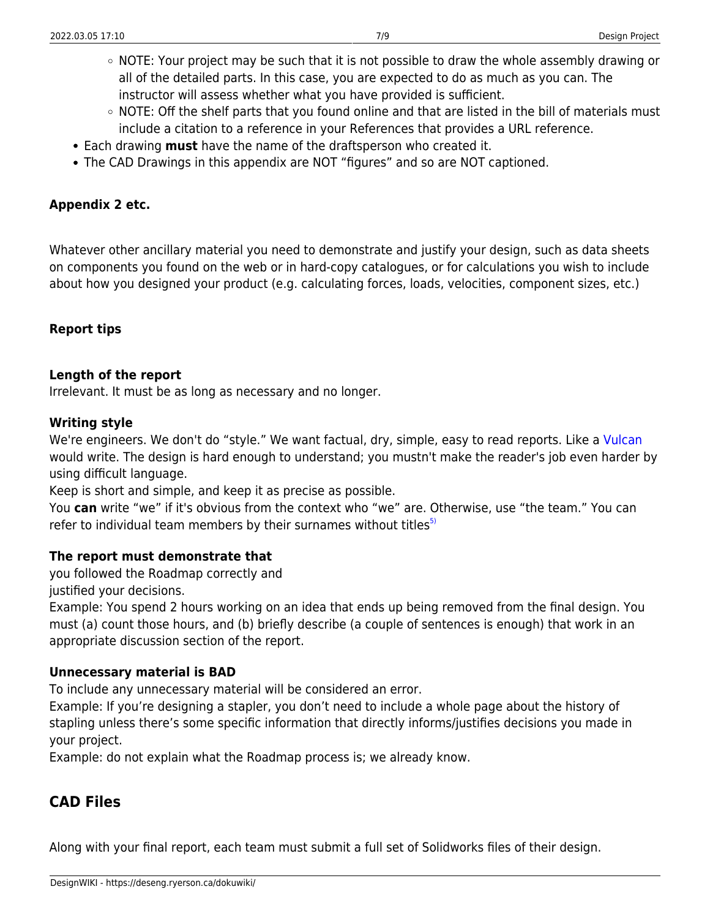- NOTE: Your project may be such that it is not possible to draw the whole assembly drawing or all of the detailed parts. In this case, you are expected to do as much as you can. The instructor will assess whether what you have provided is sufficient.
- $\circ$  NOTE: Off the shelf parts that you found online and that are listed in the bill of materials must include a citation to a reference in your References that provides a URL reference.
- Each drawing **must** have the name of the draftsperson who created it.
- The CAD Drawings in this appendix are NOT "figures" and so are NOT captioned.

## <span id="page-8-0"></span>**Appendix 2 etc.**

Whatever other ancillary material you need to demonstrate and justify your design, such as data sheets on components you found on the web or in hard-copy catalogues, or for calculations you wish to include about how you designed your product (e.g. calculating forces, loads, velocities, component sizes, etc.)

## <span id="page-8-1"></span>**Report tips**

### **Length of the report**

Irrelevant. It must be as long as necessary and no longer.

#### **Writing style**

We're engineers. We don't do "style." We want factual, dry, simple, easy to read reports. Like a [Vulcan](https://en.wikipedia.org/wiki/Vulcan_(Star_Trek)) would write. The design is hard enough to understand; you mustn't make the reader's job even harder by using difficult language.

Keep is short and simple, and keep it as precise as possible.

You **can** write "we" if it's obvious from the context who "we" are. Otherwise, use "the team." You can refer to individual team members by their surnames without titles $5$ 

### **The report must demonstrate that**

you followed the Roadmap correctly and

justified your decisions.

Example: You spend 2 hours working on an idea that ends up being removed from the final design. You must (a) count those hours, and (b) briefly describe (a couple of sentences is enough) that work in an appropriate discussion section of the report.

### **Unnecessary material is BAD**

To include any unnecessary material will be considered an error.

Example: If you're designing a stapler, you don't need to include a whole page about the history of stapling unless there's some specific information that directly informs/justifies decisions you made in your project.

Example: do not explain what the Roadmap process is; we already know.

## <span id="page-8-2"></span>**CAD Files**

Along with your final report, each team must submit a full set of Solidworks files of their design.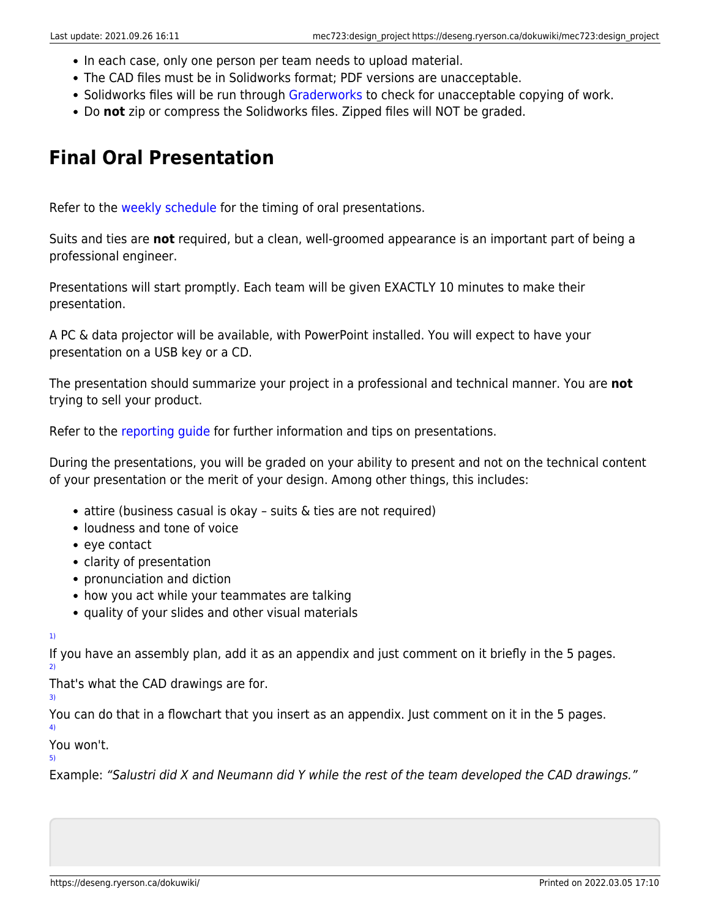- In each case, only one person per team needs to upload material.
- The CAD files must be in Solidworks format; PDF versions are unacceptable.
- Solidworks files will be run through [Graderworks](https://garlandindustriesllc.com/index.php/graderworks) to check for unacceptable copying of work.
- Do **not** zip or compress the Solidworks files. Zipped files will NOT be graded.

## <span id="page-9-0"></span>**Final Oral Presentation**

Refer to the [weekly schedule](https://deseng.ryerson.ca/dokuwiki/mec723:weekly_schedule) for the timing of oral presentations.

Suits and ties are **not** required, but a clean, well-groomed appearance is an important part of being a professional engineer.

Presentations will start promptly. Each team will be given EXACTLY 10 minutes to make their presentation.

A PC & data projector will be available, with PowerPoint installed. You will expect to have your presentation on a USB key or a CD.

The presentation should summarize your project in a professional and technical manner. You are **not** trying to sell your product.

Refer to the [reporting guide](https://deseng.ryerson.ca/dokuwiki/design:reporting_guide) for further information and tips on presentations.

During the presentations, you will be graded on your ability to present and not on the technical content of your presentation or the merit of your design. Among other things, this includes:

- attire (business casual is okay suits & ties are not required)
- loudness and tone of voice
- eve contact
- clarity of presentation
- pronunciation and diction
- how you act while your teammates are talking
- quality of your slides and other visual materials

[1\)](#page--1-0)

If you have an assembly plan, add it as an appendix and just comment on it briefly in the 5 pages. [2\)](#page--1-0)

That's what the CAD drawings are for.

[3\)](#page--1-0)

You can do that in a flowchart that you insert as an appendix. Just comment on it in the 5 pages. [4\)](#page--1-0)

You won't.

[5\)](#page--1-0)

Example: "Salustri did X and Neumann did Y while the rest of the team developed the CAD drawings."